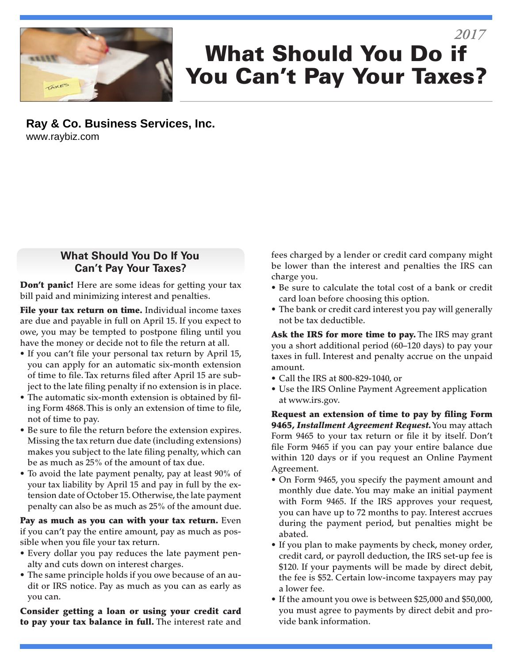

# What Should You Do if You Can't Pay Your Taxes? *2017*

**Ray & Co. Business Services, Inc.** www.raybiz.com

#### **What Should You Do If You Can't Pay Your Taxes?**

Don't panic! Here are some ideas for getting your tax bill paid and minimizing interest and penalties.

File your tax return on time. Individual income taxes are due and payable in full on April 15. If you expect to owe, you may be tempted to postpone filing until you have the money or decide not to file the return at all.

- If you can't file your personal tax return by April 15, you can apply for an automatic six-month extension of time to file. Tax returns filed after April 15 are subject to the late filing penalty if no extension is in place.
- The automatic six-month extension is obtained by filing Form 4868. This is only an extension of time to file, not of time to pay.
- Be sure to file the return before the extension expires. Missing the tax return due date (including extensions) makes you subject to the late filing penalty, which can be as much as 25% of the amount of tax due.
- To avoid the late payment penalty, pay at least 90% of your tax liability by April 15 and pay in full by the extension date of October 15. Otherwise, the late payment penalty can also be as much as 25% of the amount due.

Pay as much as you can with your tax return. Even if you can't pay the entire amount, pay as much as possible when you file your tax return.

- Every dollar you pay reduces the late payment penalty and cuts down on interest charges.
- The same principle holds if you owe because of an audit or IRS notice. Pay as much as you can as early as you can.

Consider getting a loan or using your credit card to pay your tax balance in full. The interest rate and fees charged by a lender or credit card company might be lower than the interest and penalties the IRS can charge you.

- Be sure to calculate the total cost of a bank or credit card loan before choosing this option.
- The bank or credit card interest you pay will generally not be tax deductible.

Ask the IRS for more time to pay. The IRS may grant you a short additional period (60–120 days) to pay your taxes in full. Interest and penalty accrue on the unpaid amount.

- Call the IRS at 800-829-1040, or
- Use the IRS Online Payment Agreement application at www.irs.gov.

Request an extension of time to pay by filing Form 9465, *Installment Agreement Request.* You may attach Form 9465 to your tax return or file it by itself. Don't file Form 9465 if you can pay your entire balance due within 120 days or if you request an Online Payment Agreement.

- On Form 9465, you specify the payment amount and monthly due date. You may make an initial payment with Form 9465. If the IRS approves your request, you can have up to 72 months to pay. Interest accrues during the payment period, but penalties might be abated.
- If you plan to make payments by check, money order, credit card, or payroll deduction, the IRS set-up fee is \$120. If your payments will be made by direct debit, the fee is \$52. Certain low-income taxpayers may pay a lower fee.
- If the amount you owe is between \$25,000 and \$50,000, you must agree to payments by direct debit and provide bank information.